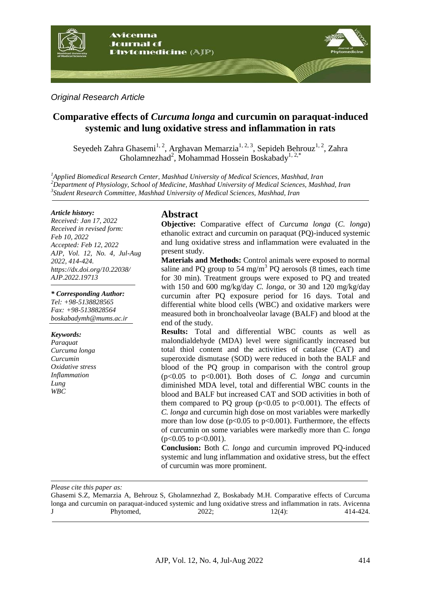

*Original Research Article*

# **Comparative effects of** *Curcuma longa* **and curcumin on paraquat-induced systemic and lung oxidative stress and inflammation in rats**

Seyedeh Zahra Ghasemi<sup>1, 2</sup>, Arghavan Memarzia<sup>1, 2, 3</sup>, Sepideh Behrouz<sup>1, 2</sup>, Zahra Gholamnezhad<sup>2</sup>, Mohammad Hossein Boskabady<sup>1, 2,\*</sup>

*<sup>1</sup>Applied Biomedical Research Center, Mashhad University of Medical Sciences, Mashhad, Iran <sup>2</sup>Department of Physiology, School of Medicine, Mashhad University of Medical Sciences, Mashhad, Iran 3 Student Research Committee, Mashhad University of Medical Sciences, Mashhad, Iran*

#### *Article history:*

*Received: Jan 17, 2022 Received in revised form: Feb 10, 2022 Accepted: Feb 12, 2022 AJP, Vol. 12, No. 4, Jul-Aug 2022, 414-424. https://dx.doi.org/10.22038/ AJP.2022.19713*

*\* Corresponding Author: Tel: +98-5138828565 Fax: +98-5138828564*

*boskabadymh@mums.ac.ir* 

### *Keywords:*

*Paraquat Curcuma longa Curcumin Oxidative stress Inflammation Lung WBC*

# **Abstract**

**Objective:** Comparative effect of *Curcuma longa* (*C. longa*) ethanolic extract and curcumin on paraquat (PQ)-induced systemic and lung oxidative stress and inflammation were evaluated in the present study.

**Materials and Methods:** Control animals were exposed to normal saline and PQ group to 54 mg/m<sup>3</sup> PQ aerosols (8 times, each time for 30 min). Treatment groups were exposed to PQ and treated with 150 and 600 mg/kg/day *C. longa*, or 30 and 120 mg/kg/day curcumin after PQ exposure period for 16 days. Total and differential white blood cells (WBC) and oxidative markers were measured both in bronchoalveolar lavage (BALF) and blood at the end of the study.

**Results:** Total and differential WBC counts as well as malondialdehyde (MDA) level were significantly increased but total thiol content and the activities of catalase (CAT) and superoxide dismutase (SOD) were reduced in both the BALF and blood of the PQ group in comparison with the control group (p<0.05 to p<0.001). Both doses of *C. longa* and curcumin diminished MDA level, total and differential WBC counts in the blood and BALF but increased CAT and SOD activities in both of them compared to PQ group ( $p<0.05$  to  $p<0.001$ ). The effects of *C. longa* and curcumin high dose on most variables were markedly more than low dose ( $p<0.05$  to  $p<0.001$ ). Furthermore, the effects of curcumin on some variables were markedly more than *C. longa*  $(p<0.05$  to  $p<0.001$ ).

**Conclusion:** Both *C. longa* and curcumin improved PQ-induced systemic and lung inflammation and oxidative stress, but the effect of curcumin was more prominent.

*Please cite this paper as:* 

Ghasemi S.Z, Memarzia A, Behrouz S, Gholamnezhad Z, Boskabady M.H. Comparative effects of Curcuma longa and curcumin on paraquat-induced systemic and lung oxidative stress and inflammation in rats. Avicenna J Phytomed, 2022; 12(4): 414-424.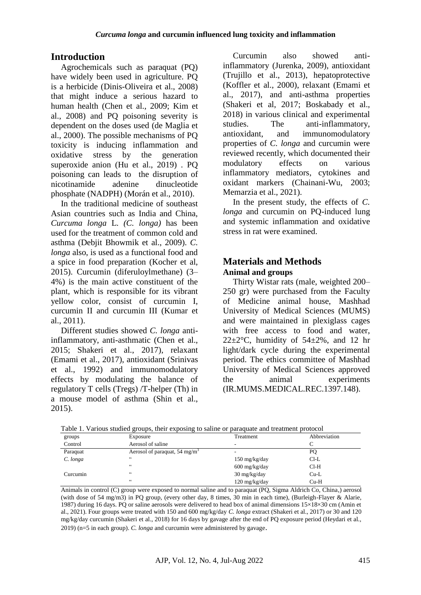# **Introduction**

Agrochemicals such as paraquat (PQ) have widely been used in agriculture. PQ is a herbicide (Dinis-Oliveira et al., 2008) that might induce a serious hazard to human health (Chen et al., 2009; Kim et al., 2008) and PQ poisoning severity is dependent on the doses used (de Maglia et al., 2000). The possible mechanisms of PQ toxicity is inducing inflammation and oxidative stress by the generation superoxide anion (Hu et al., 2019) . PQ poisoning can leads to the disruption of nicotinamide adenine dinucleotide phosphate (NADPH) (Morán et al., 2010).

In the traditional medicine of southeast Asian countries such as India and China, *Curcuma longa* L. *(C. longa)* has been used for the treatment of common cold and asthma (Debjit Bhowmik et al., 2009). *C. longa* also, is used as a functional food and a spice in food preparation (Kocher et al, 2015). Curcumin (diferuloylmethane) (3– 4%) is the main active constituent of the plant, which is responsible for its vibrant yellow color, consist of curcumin I, curcumin II and curcumin III (Kumar et al., 2011).

Different studies showed *C. longa* antiinflammatory, anti-asthmatic (Chen et al., 2015; Shakeri et al., 2017), relaxant (Emami et al., 2017), antioxidant (Srinivas et al., 1992) and immunomodulatory effects by modulating the balance of regulatory T cells (Tregs) /T-helper (Th) in a mouse model of asthma (Shin et al., 2015).

Curcumin also showed antiinflammatory (Jurenka, 2009), antioxidant (Trujillo et al., 2013), hepatoprotective (Koffler et al., 2000), relaxant (Emami et al., 2017), and anti-asthma properties (Shakeri et al, 2017; Boskabady et al., 2018) in various clinical and experimental studies. The anti-inflammatory, antioxidant, and immunomodulatory properties of *C. longa* and curcumin were reviewed recently, which documented their modulatory effects on various inflammatory mediators, cytokines and oxidant markers (Chainani-Wu, 2003; Memarzia et al., 2021).

In the present study, the effects of *C. longa* and curcumin on PQ-induced lung and systemic inflammation and oxidative stress in rat were examined.

# **Materials and Methods Animal and groups**

Thirty Wistar rats (male, weighted 200– 250 gr) were purchased from the Faculty of Medicine animal house, Mashhad University of Medical Sciences (MUMS) and were maintained in plexiglass cages with free access to food and water, 22 $\pm$ 2°C, humidity of 54 $\pm$ 2%, and 12 hr light/dark cycle during the experimental period. The ethics committee of Mashhad University of Medical Sciences approved the animal experiments (IR.MUMS.MEDICAL.REC.1397.148).

| Tuesday of a complete the complete subsequent of the paradoxic and a comment protocol |                                           |                                   |              |
|---------------------------------------------------------------------------------------|-------------------------------------------|-----------------------------------|--------------|
| groups                                                                                | Exposure                                  | Treatment                         | Abbreviation |
| Control                                                                               | Aerosol of saline                         | -                                 |              |
| Paraquat                                                                              | Aerosol of paraquat, 54 mg/m <sup>3</sup> |                                   | PС           |
| C. longa                                                                              | $\epsilon$                                | $150 \text{ mg/kg/day}$           | $Cl-L$       |
|                                                                                       | $\epsilon$                                | $600 \frac{\text{mg}}{\text{kg}}$ | $Cl-H$       |
| Curcumin                                                                              | $\epsilon$                                | $30 \frac{\text{mg}}{\text{kg}}$  | $Cu-L$       |
|                                                                                       | $\epsilon$                                | $120 \text{ mg/kg/day}$           | $Cu-H$       |

Table 1. Various studied groups, their exposing to saline or paraquate and treatment protocol

Animals in control (C) group were exposed to normal saline and to paraquat (PQ, Sigma Aldrich Co, China,) aerosol (with dose of 54 mg/m3) in PQ group, (every other day, 8 times, 30 min in each time), (Burleigh-Flayer & Alarie, 1987) during 16 days. PQ or saline aerosols were delivered to head box of animal dimensions 15×18×30 cm (Amin et al., 2021). Four groups were treated with 150 and 600 mg/kg/day *C. longa* extract (Shakeri et al., 2017) or 30 and 120 mg/kg/day curcumin (Shakeri et al., 2018) for 16 days by gavage after the end of PQ exposure period (Heydari et al., 2019) (n=5 in each group). *C. longa* and curcumin were administered by gavage.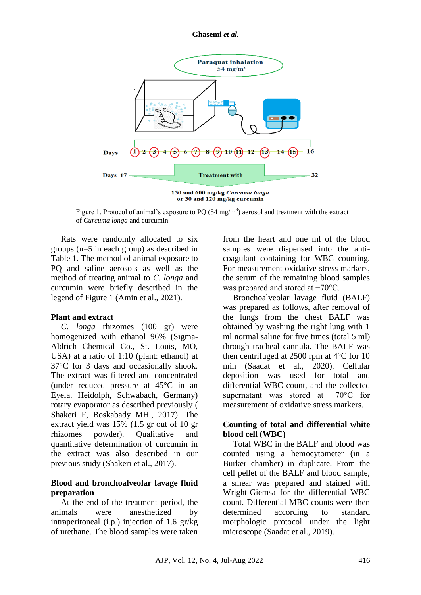#### **Ghasemi** *et al.*



Figure 1. Protocol of animal's exposure to PQ (54 mg/m<sup>3</sup>) aerosol and treatment with the extract of *Curcuma longa* and curcumin.

Rats were randomly allocated to six groups (n=5 in each group) as described in Table 1. The method of animal exposure to PQ and saline aerosols as well as the method of treating animal to *C. longa* and curcumin were briefly described in the legend of Figure 1 (Amin et al., 2021).

### **Plant and extract**

*C. longa* rhizomes (100 gr) were homogenized with ethanol 96% (Sigma-Aldrich Chemical Co., St. Louis, MO, USA) at a ratio of 1:10 (plant: ethanol) at 37°C for 3 days and occasionally shook. The extract was filtered and concentrated (under reduced pressure at 45°C in an Eyela. Heidolph, Schwabach, Germany) rotary evaporator as described previously ( Shakeri F, Boskabady MH., 2017). The extract yield was 15% (1.5 gr out of 10 gr rhizomes powder). Qualitative and quantitative determination of curcumin in the extract was also described in our previous study (Shakeri et al., 2017).

## **Blood and bronchoalveolar lavage fluid preparation**

At the end of the treatment period, the animals were anesthetized by intraperitoneal (i.p.) injection of 1.6 gr/kg of urethane. The blood samples were taken from the heart and one ml of the blood samples were dispensed into the anticoagulant containing for WBC counting. For measurement oxidative stress markers, the serum of the remaining blood samples was prepared and stored at −70°C.

Bronchoalveolar lavage fluid (BALF) was prepared as follows, after removal of the lungs from the chest BALF was obtained by washing the right lung with 1 ml normal saline for five times (total 5 ml) through tracheal cannula. The BALF was then centrifuged at 2500 rpm at 4°C for 10 min (Saadat et al., 2020). Cellular deposition was used for total and differential WBC count, and the collected supernatant was stored at −70°C for measurement of oxidative stress markers.

## **Counting of total and differential white blood cell (WBC)**

Total WBC in the BALF and blood was counted using a hemocytometer (in a Burker chamber) in duplicate. From the cell pellet of the BALF and blood sample, a smear was prepared and stained with Wright-Giemsa for the differential WBC count. Differential MBC counts were then determined according to standard morphologic protocol under the light microscope (Saadat et al., 2019).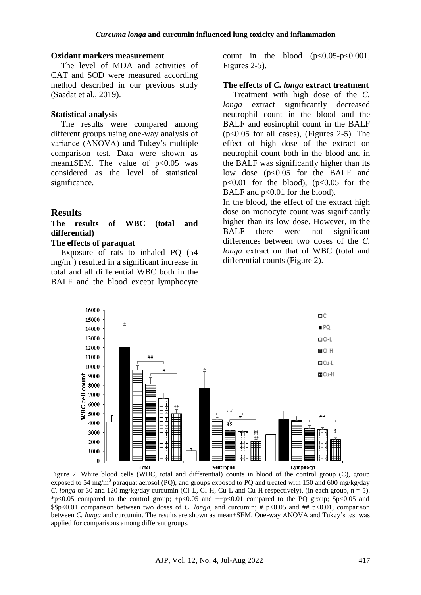### **Oxidant markers measurement**

The level of MDA and activities of CAT and SOD were measured according method described in our previous study (Saadat et al., 2019).

#### **Statistical analysis**

The results were compared among different groups using one-way analysis of variance (ANOVA) and Tukey's multiple comparison test. Data were shown as mean $\pm$ SEM. The value of p<0.05 was considered as the level of statistical significance.

## **Results**

## **The results of WBC (total and differential)**

## **The effects of paraquat**

Exposure of rats to inhaled PQ (54  $mg/m<sup>3</sup>$ ) resulted in a significant increase in total and all differential WBC both in the BALF and the blood except lymphocyte

count in the blood  $(p<0.05-p<0.001$ , Figures 2-5).

#### **The effects of** *C. longa* **extract treatment**

Treatment with high dose of the *C. longa* extract significantly decreased neutrophil count in the blood and the BALF and eosinophil count in the BALF (p<0.05 for all cases), (Figures 2-5). The effect of high dose of the extract on neutrophil count both in the blood and in the BALF was significantly higher than its low dose (p<0.05 for the BALF and  $p<0.01$  for the blood),  $(p<0.05$  for the BALF and  $p<0.01$  for the blood).

In the blood, the effect of the extract high dose on monocyte count was significantly higher than its low dose. However, in the BALF there were not significant differences between two doses of the *C. longa* extract on that of WBC (total and differential counts (Figure 2).



Figure 2. White blood cells (WBC, total and differential) counts in blood of the control group (C), group exposed to 54 mg/m<sup>3</sup> paraquat aerosol (PQ), and groups exposed to PQ and treated with 150 and 600 mg/kg/day *C. longa* or 30 and 120 mg/kg/day curcumin (Cl-L, Cl-H, Cu-L and Cu-H respectively), (in each group, n = 5). \*p<0.05 compared to the control group;  $+p<0.05$  and  $+p<0.01$  compared to the PQ group;  $p<0.05$  and \$\$p<0.01 comparison between two doses of *C. longa*, and curcumin; # p<0.05 and ## p<0.01, comparison between *C. longa* and curcumin. The results are shown as mean±SEM. One-way ANOVA and Tukey's test was applied for comparisons among different groups.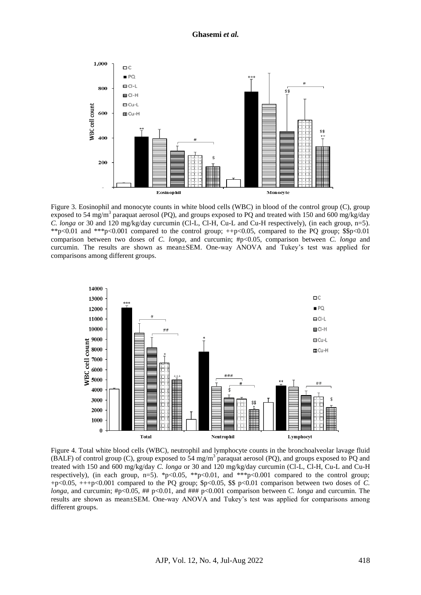#### **Ghasemi** *et al.*



Figure 3. Eosinophil and monocyte counts in white blood cells (WBC) in blood of the control group (C), group exposed to 54 mg/m<sup>3</sup> paraquat aerosol (PQ), and groups exposed to PQ and treated with 150 and 600 mg/kg/day *C. longa* or 30 and 120 mg/kg/day curcumin (Cl-L, Cl-H, Cu-L and Cu-H respectively), (in each group, n=5). \*\*p<0.01 and \*\*\*p<0.001 compared to the control group; ++p<0.05, compared to the PQ group; \$\$p<0.01 comparison between two doses of *C. longa*, and curcumin; #p<0.05, comparison between *C. longa* and curcumin. The results are shown as mean±SEM. One-way ANOVA and Tukey's test was applied for comparisons among different groups.



Figure 4. Total white blood cells (WBC), neutrophil and lymphocyte counts in the bronchoalveolar lavage fluid (BALF) of control group (C), group exposed to  $54 \text{ mg/m}^3$  paraquat aerosol (PQ), and groups exposed to PQ and treated with 150 and 600 mg/kg/day *C. longa* or 30 and 120 mg/kg/day curcumin (Cl-L, Cl-H, Cu-L and Cu-H respectively), (in each group, n=5). \*p<0.05, \*\*p<0.01, and \*\*\*p<0.001 compared to the control group; +p<0.05, +++p<0.001 compared to the PQ group; \$p<0.05, \$\$ p<0.01 comparison between two doses of *C. longa*, and curcumin; #p<0.05, ## p<0.01, and ### p<0.001 comparison between *C. longa* and curcumin. The results are shown as mean±SEM. One-way ANOVA and Tukey's test was applied for comparisons among different groups.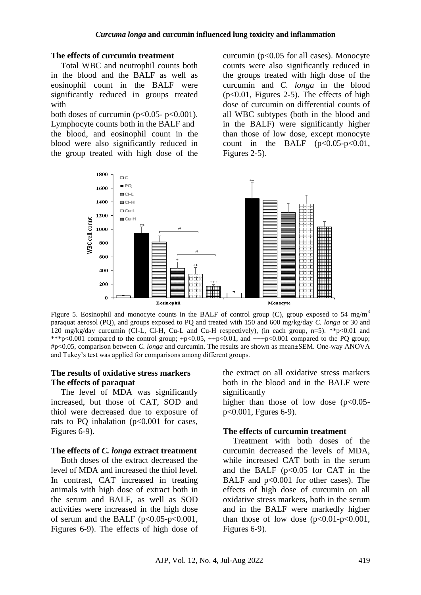### **The effects of curcumin treatment**

Total WBC and neutrophil counts both in the blood and the BALF as well as eosinophil count in the BALF were significantly reduced in groups treated with

both doses of curcumin ( $p<0.05-p<0.001$ ). Lymphocyte counts both in the BALF and the blood, and eosinophil count in the blood were also significantly reduced in the group treated with high dose of the

curcumin ( $p<0.05$  for all cases). Monocyte counts were also significantly reduced in the groups treated with high dose of the curcumin and *C. longa* in the blood  $(p<0.01$ , Figures 2-5). The effects of high dose of curcumin on differential counts of all WBC subtypes (both in the blood and in the BALF) were significantly higher than those of low dose, except monocyte count in the BALF  $(p<0.05-p<0.01$ , Figures 2-5).



Figure 5. Eosinophil and monocyte counts in the BALF of control group (C), group exposed to 54 mg/m<sup>3</sup> paraquat aerosol (PQ), and groups exposed to PQ and treated with 150 and 600 mg/kg/day *C. longa* or 30 and 120 mg/kg/day curcumin (Cl-L, Cl-H, Cu-L and Cu-H respectively), (in each group, n=5). \*\*p<0.01 and \*\*\*p<0.001 compared to the control group;  $+p<0.05$ ,  $+p<0.01$ , and  $++p<0.001$  compared to the PQ group; #p<0.05, comparison between *C. longa* and curcumin. The results are shown as mean±SEM. One-way ANOVA and Tukey's test was applied for comparisons among different groups.

## **The results of oxidative stress markers The effects of paraquat**

The level of MDA was significantly increased, but those of CAT, SOD and thiol were decreased due to exposure of rats to PO inhalation  $(p<0.001$  for cases, Figures 6-9).

## **The effects of** *C. longa* **extract treatment**

Both doses of the extract decreased the level of MDA and increased the thiol level. In contrast, CAT increased in treating animals with high dose of extract both in the serum and BALF, as well as SOD activities were increased in the high dose of serum and the BALF  $(p<0.05-p<0.001$ , Figures 6-9). The effects of high dose of the extract on all oxidative stress markers both in the blood and in the BALF were significantly

higher than those of low dose  $(p<0.05$ p<0.001, Fgures 6-9).

## **The effects of curcumin treatment**

Treatment with both doses of the curcumin decreased the levels of MDA, while increased CAT both in the serum and the BALF  $(p<0.05$  for CAT in the BALF and p<0.001 for other cases). The effects of high dose of curcumin on all oxidative stress markers, both in the serum and in the BALF were markedly higher than those of low dose  $(p<0.01-p<0.001$ , Figures 6-9).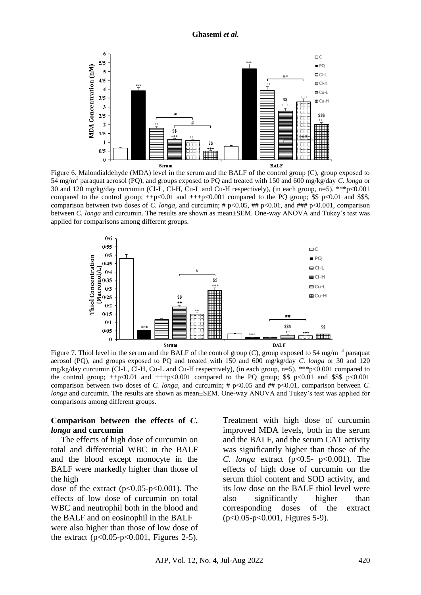

Figure 6. Malondialdehyde (MDA) level in the serum and the BALF of the control group (C), group exposed to 54 mg/m<sup>3</sup> paraquat aerosol (PQ), and groups exposed to PQ and treated with 150 and 600 mg/kg/day *C. longa* or 30 and 120 mg/kg/day curcumin (Cl-L, Cl-H, Cu-L and Cu-H respectively), (in each group, n=5). \*\*\*p<0.001 compared to the control group;  $++p<0.01$  and  $++p<0.001$  compared to the PQ group; \$\$ p<0.01 and \$\$\$, comparison between two doses of *C. longa*, and curcumin; # p<0.05, ## p<0.01, and ### p<0.001, comparison between *C. longa* and curcumin. The results are shown as mean±SEM. One-way ANOVA and Tukey's test was applied for comparisons among different groups.



Figure 7. Thiol level in the serum and the BALF of the control group (C), group exposed to 54 mg/m  $^3$  paraquat aerosol (PQ), and groups exposed to PQ and treated with 150 and 600 mg/kg/day *C. longa* or 30 and 120 mg/kg/day curcumin (Cl-L, Cl-H, Cu-L and Cu-H respectively), (in each group, n=5). \*\*\*p<0.001 compared to the control group;  $++p<0.01$  and  $+++p<0.001$  compared to the PQ group; \$\$ p $<0.01$  and \$\$\$ p $<0.001$ comparison between two doses of *C. longa*, and curcumin; # p<0.05 and ## p<0.01, comparison between *C*. *longa* and curcumin. The results are shown as mean±SEM. One-way ANOVA and Tukey's test was applied for comparisons among different groups.

## **Comparison between the effects of** *C. longa* **and curcumin**

The effects of high dose of curcumin on total and differential WBC in the BALF and the blood except monocyte in the BALF were markedly higher than those of the high

dose of the extract  $(p<0.05-p<0.001)$ . The effects of low dose of curcumin on total WBC and neutrophil both in the blood and the BALF and on eosinophil in the BALF were also higher than those of low dose of the extract  $(p<0.05-p<0.001$ , Figures 2-5).

Treatment with high dose of curcumin improved MDA levels, both in the serum and the BALF, and the serum CAT activity was significantly higher than those of the *C. longa* extract (p<0.5- p<0.001). The effects of high dose of curcumin on the serum thiol content and SOD activity, and its low dose on the BALF thiol level were also significantly higher than corresponding doses of the extract (p<0.05-p<0.001, Figures 5-9).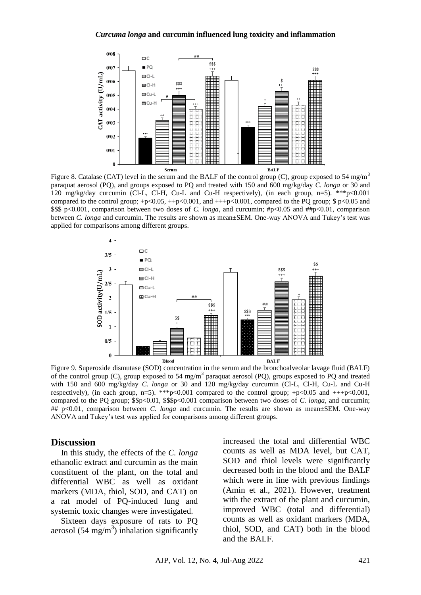#### *Curcuma longa* **and curcumin influenced lung toxicity and inflammation**



<sup>Serum</sup><br>Figure 8. Catalase (CAT) level in the serum and the BALF of the control group (C), group exposed to 54 mg/m<sup>3</sup> paraquat aerosol (PQ), and groups exposed to PQ and treated with 150 and 600 mg/kg/day *C. longa* or 30 and 120 mg/kg/day curcumin (Cl-L, Cl-H, Cu-L and Cu-H respectively), (in each group, n=5). \*\*\*p<0.001 compared to the control group;  $+p<0.05$ ,  $++p<0.001$ , and  $++p<0.001$ , compared to the PQ group; \$ p<0.05 and \$\$\$ p<0.001, comparison between two doses of *C. longa*, and curcumin; #p<0.05 and ##p<0.01, comparison between *C. longa* and curcumin. The results are shown as mean±SEM. One-way ANOVA and Tukey's test was applied for comparisons among different groups.



Figure 9. Superoxide dismutase (SOD) concentration in the serum and the bronchoalveolar lavage fluid (BALF) of the control group (C), group exposed to 54 mg/m<sup>3</sup> paraquat aerosol (PQ), groups exposed to PQ and treated with 150 and 600 mg/kg/day *C. longa* or 30 and 120 mg/kg/day curcumin (Cl-L, Cl-H, Cu-L and Cu-H respectively), (in each group, n=5). \*\*\*p<0.001 compared to the control group; +p<0.05 and +++p<0.001, compared to the PQ group; \$\$p<0.01, \$\$\$p<0.001 comparison between two doses of *C. longa*, and curcumin; ## p<0.01, comparison between *C. longa* and curcumin. The results are shown as mean±SEM. One-way ANOVA and Tukey's test was applied for comparisons among different groups.

### **Discussion**

In this study, the effects of the *C. longa* ethanolic extract and curcumin as the main constituent of the plant, on the total and differential WBC as well as oxidant markers (MDA, thiol, SOD, and CAT) on a rat model of PQ-induced lung and systemic toxic changes were investigated.

Sixteen days exposure of rats to PQ aerosol  $(54 \text{ mg/m}^3)$  inhalation significantly increased the total and differential WBC counts as well as MDA level, but CAT, SOD and thiol levels were significantly decreased both in the blood and the BALF which were in line with previous findings (Amin et al., 2021). However, treatment with the extract of the plant and curcumin. improved WBC (total and differential) counts as well as oxidant markers (MDA, thiol, SOD, and CAT) both in the blood and the BALF.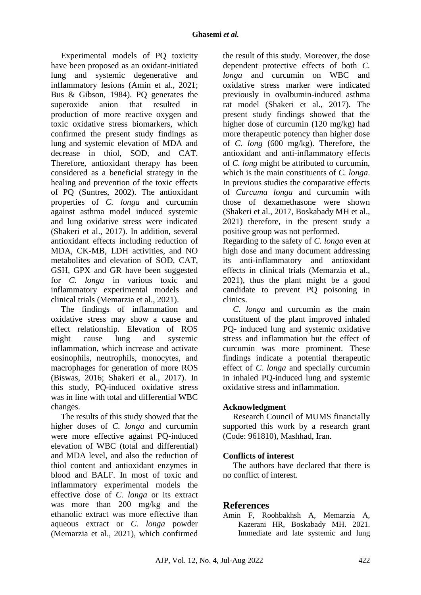Experimental models of PQ toxicity have been proposed as an oxidant-initiated lung and systemic degenerative and inflammatory lesions (Amin et al., 2021; Bus & Gibson, 1984). PQ generates the superoxide anion that resulted in production of more reactive oxygen and toxic oxidative stress biomarkers, which confirmed the present study findings as lung and systemic elevation of MDA and decrease in thiol, SOD, and CAT. Therefore, antioxidant therapy has been considered as a beneficial strategy in the healing and prevention of the toxic effects of PQ (Suntres, 2002). The antioxidant properties of *C. longa* and curcumin against asthma model induced systemic and lung oxidative stress were indicated (Shakeri et al., 2017). In addition, several antioxidant effects including reduction of MDA, CK-MB, LDH activities, and NO metabolites and elevation of SOD, CAT, GSH, GPX and GR have been suggested for *C. longa* in various toxic and inflammatory experimental models and clinical trials (Memarzia et al., 2021).

The findings of inflammation and oxidative stress may show a cause and effect relationship. Elevation of ROS might cause lung and systemic inflammation, which increase and activate eosinophils, neutrophils, monocytes, and macrophages for generation of more ROS (Biswas, 2016; Shakeri et al., 2017). In this study, PQ-induced oxidative stress was in line with total and differential WBC changes.

The results of this study showed that the higher doses of *C. longa* and curcumin were more effective against PQ-induced elevation of WBC (total and differential) and MDA level, and also the reduction of thiol content and antioxidant enzymes in blood and BALF. In most of toxic and inflammatory experimental models the effective dose of *C. longa* or its extract was more than 200 mg/kg and the ethanolic extract was more effective than aqueous extract or *C. longa* powder (Memarzia et al., 2021), which confirmed the result of this study. Moreover, the dose dependent protective effects of both *C. longa* and curcumin on WBC and oxidative stress marker were indicated previously in ovalbumin-induced asthma rat model (Shakeri et al., 2017). The present study findings showed that the higher dose of curcumin (120 mg/kg) had more therapeutic potency than higher dose of *C. long* (600 mg/kg). Therefore, the antioxidant and anti-inflammatory effects of *C. long* might be attributed to curcumin, which is the main constituents of *C. longa*. In previous studies the comparative effects of *Curcuma longa* and curcumin with those of dexamethasone were shown (Shakeri et al., 2017, Boskabady MH et al., 2021) therefore, in the present study a positive group was not performed.

Regarding to the safety of *C. longa* even at high dose and many document addressing its anti-inflammatory and antioxidant effects in clinical trials (Memarzia et al., 2021), thus the plant might be a good candidate to prevent PQ poisoning in clinics.

*C. longa* and curcumin as the main constituent of the plant improved inhaled PQ- induced lung and systemic oxidative stress and inflammation but the effect of curcumin was more prominent. These findings indicate a potential therapeutic effect of *C. longa* and specially curcumin in inhaled PQ-induced lung and systemic oxidative stress and inflammation.

# **Acknowledgment**

Research Council of MUMS financially supported this work by a research grant (Code: 961810), Mashhad, Iran.

# **Conflicts of interest**

The authors have declared that there is no conflict of interest.

# **References**

Amin F, Roohbakhsh A, Memarzia A, Kazerani HR, Boskabady MH. 2021. Immediate and late systemic and lung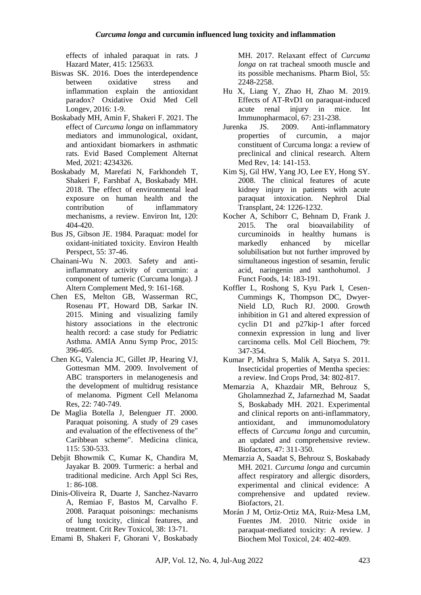effects of inhaled paraquat in rats. J Hazard Mater, 415: 125633.

- Biswas SK. 2016. Does the interdependence between oxidative stress and inflammation explain the antioxidant paradox? Oxidative Oxid Med Cell Longev, 2016: 1-9.
- Boskabady MH, Amin F, Shakeri F. 2021. The effect of *Curcuma longa* on inflammatory mediators and immunological, oxidant, and antioxidant biomarkers in asthmatic rats. Evid Based Complement Alternat Med, 2021: 4234326.
- Boskabady M, Marefati N, Farkhondeh T, Shakeri F, Farshbaf A, Boskabady MH. 2018. The effect of environmental lead exposure on human health and the contribution of inflammatory mechanisms, a review. Environ Int, 120: 404-420.
- Bus JS, Gibson JE. 1984. Paraquat: model for oxidant-initiated toxicity. Environ Health Perspect, 55: 37-46.
- Chainani-Wu N. 2003. Safety and antiinflammatory activity of curcumin: a component of tumeric (Curcuma longa). J Altern Complement Med, 9: 161-168.
- Chen ES, Melton GB, Wasserman RC, Rosenau PT, Howard DB, Sarkar IN. 2015. Mining and visualizing family history associations in the electronic health record: a case study for Pediatric Asthma. AMIA Annu Symp Proc, 2015: 396-405.
- Chen KG, Valencia JC, Gillet JP, Hearing VJ, Gottesman MM. 2009. Involvement of ABC transporters in melanogenesis and the development of multidrug resistance of melanoma. Pigment Cell Melanoma Res, 22: 740-749.
- De Maglia Botella J, Belenguer JT. 2000. Paraquat poisoning. A study of 29 cases and evaluation of the effectiveness of the" Caribbean scheme". Medicina clinica, 115: 530-533.
- Debjit Bhowmik C, Kumar K, Chandira M, Jayakar B. 2009. Turmeric: a herbal and traditional medicine. Arch Appl Sci Res,  $1: 86-108$
- Dinis-Oliveira R, Duarte J, Sanchez-Navarro A, Remiao F, Bastos M, Carvalho F. 2008. Paraquat poisonings: mechanisms of lung toxicity, clinical features, and treatment. Crit Rev Toxicol, 38: 13-71.
- Emami B, Shakeri F, Ghorani V, Boskabady

MH. 2017. Relaxant effect of *Curcuma longa* on rat tracheal smooth muscle and its possible mechanisms. Pharm Biol, 55: 2248-2258.

- Hu X, Liang Y, Zhao H, Zhao M. 2019. Effects of AT-RvD1 on paraquat-induced acute renal injury in mice. Int Immunopharmacol, 67: 231-238.
- Jurenka JS. 2009. Anti-inflammatory properties of curcumin, a major constituent of Curcuma longa: a review of preclinical and clinical research. Altern Med Rev, 14: 141-153.
- Kim Sj, Gil HW, Yang JO, Lee EY, Hong SY. 2008. The clinical features of acute kidney injury in patients with acute paraquat intoxication. Nephrol Dial Transplant, 24: 1226-1232.
- Kocher A, Schiborr C, Behnam D, Frank J. 2015. The oral bioavailability of curcuminoids in healthy humans is markedly enhanced by micellar solubilisation but not further improved by simultaneous ingestion of sesamin, ferulic acid, naringenin and xanthohumol. J Funct Foods, 14: 183-191.
- Koffler L, Roshong S, Kyu Park I, Cesen‐ Cummings K, Thompson DC, Dwyer‐ Nield LD, Ruch RJ. 2000. Growth inhibition in G1 and altered expression of cyclin D1 and p27kip‐1 after forced connexin expression in lung and liver carcinoma cells. Mol Cell Biochem, 79: 347-354.
- Kumar P, Mishra S, Malik A, Satya S. 2011. Insecticidal properties of Mentha species: a review. Ind Crops Prod, 34: 802-817.
- Memarzia A, Khazdair MR, Behrouz S, Gholamnezhad Z, Jafarnezhad M, Saadat S, Boskabady MH. 2021. Experimental and clinical reports on anti-inflammatory, antioxidant, and immunomodulatory effects of *Curcuma longa* and curcumin, an updated and comprehensive review. Biofactors, 47: 311-350.
- Memarzia A, Saadat S, Behrouz S, Boskabady MH. 2021. *Curcuma longa* and curcumin affect respiratory and allergic disorders, experimental and clinical evidence: A comprehensive and updated review. Biofactors, 21.
- Morán J M, Ortiz‐Ortiz MA, Ruiz‐Mesa LM, Fuentes JM. 2010. Nitric oxide in paraquat‐mediated toxicity: A review. J Biochem Mol Toxicol, 24: 402-409.